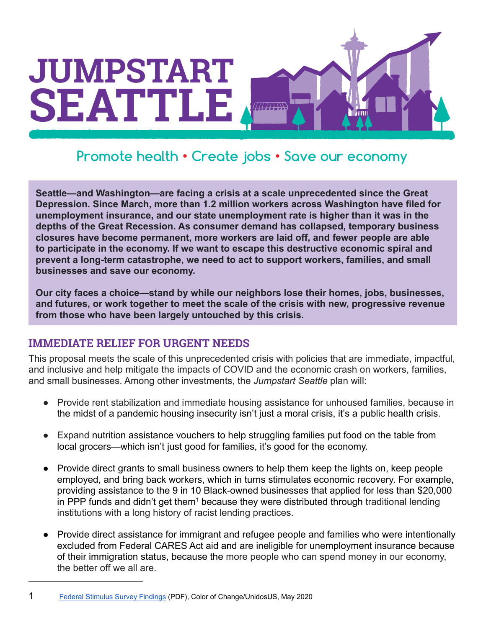

## **Jobs • Save our economy Promote health • Create jobs • Save our economy Promote health • Create jobs • Save our economy**

**Seattle—and Washington—are facing a crisis at a scale unprecedented since the Great Depression. Since March, more than 1.2 million workers across Washington have filed for unemployment insurance, and our state unemployment rate is higher than it was in the depths of the Great Recession. As consumer demand has collapsed, temporary business closures have become permanent, more workers are laid off, and fewer people are able to participate in the economy. If we want to escape this destructive economic spiral and prevent a long-term catastrophe, we need to act to support workers, families, and small businesses and save our economy.**

**Our city faces a choice—stand by while our neighbors lose their homes, jobs, businesses, and futures, or work together to meet the scale of the crisis with new, progressive revenue from those who have been largely untouched by this crisis.**

## **IMMEDIATE RELIEF FOR URGENT NEEDS**

This proposal meets the scale of this unprecedented crisis with policies that are immediate, impactful, and inclusive and help mitigate the impacts of COVID and the economic crash on workers, families, and small businesses. Among other investments, the *Jumpstart Seattle* plan will:

- Provide rent stabilization and immediate housing assistance for unhoused families, because in the midst of a pandemic housing insecurity isn't just a moral crisis, it's a public health crisis.
- Expand nutrition assistance vouchers to help struggling families put food on the table from local grocers—which isn't just good for families, it's good for the economy.
- Provide direct grants to small business owners to help them keep the lights on, keep people employed, and bring back workers, which in turns stimulates economic recovery. For example, providing assistance to the 9 in 10 Black-owned businesses that applied for less than \$20,000 in PPP funds and didn't get them<sup>1</sup> because they were distributed through traditional lending institutions with a long history of racist lending practices.
- Provide direct assistance for immigrant and refugee people and families who were intentionally excluded from Federal CARES Act aid and are ineligible for unemployment insurance because of their immigration status, because the more people who can spend money in our economy, the better off we all are.

<sup>1</sup> [Federal Stimulus Survey Findings](http://publications.unidosus.org/bitstream/handle/123456789/2051/UnidosUS-Color-Of-Change-Federal-Simulus-Survey-Findings.pdf) (PDF), Color of Change/UnidosUS, May 2020